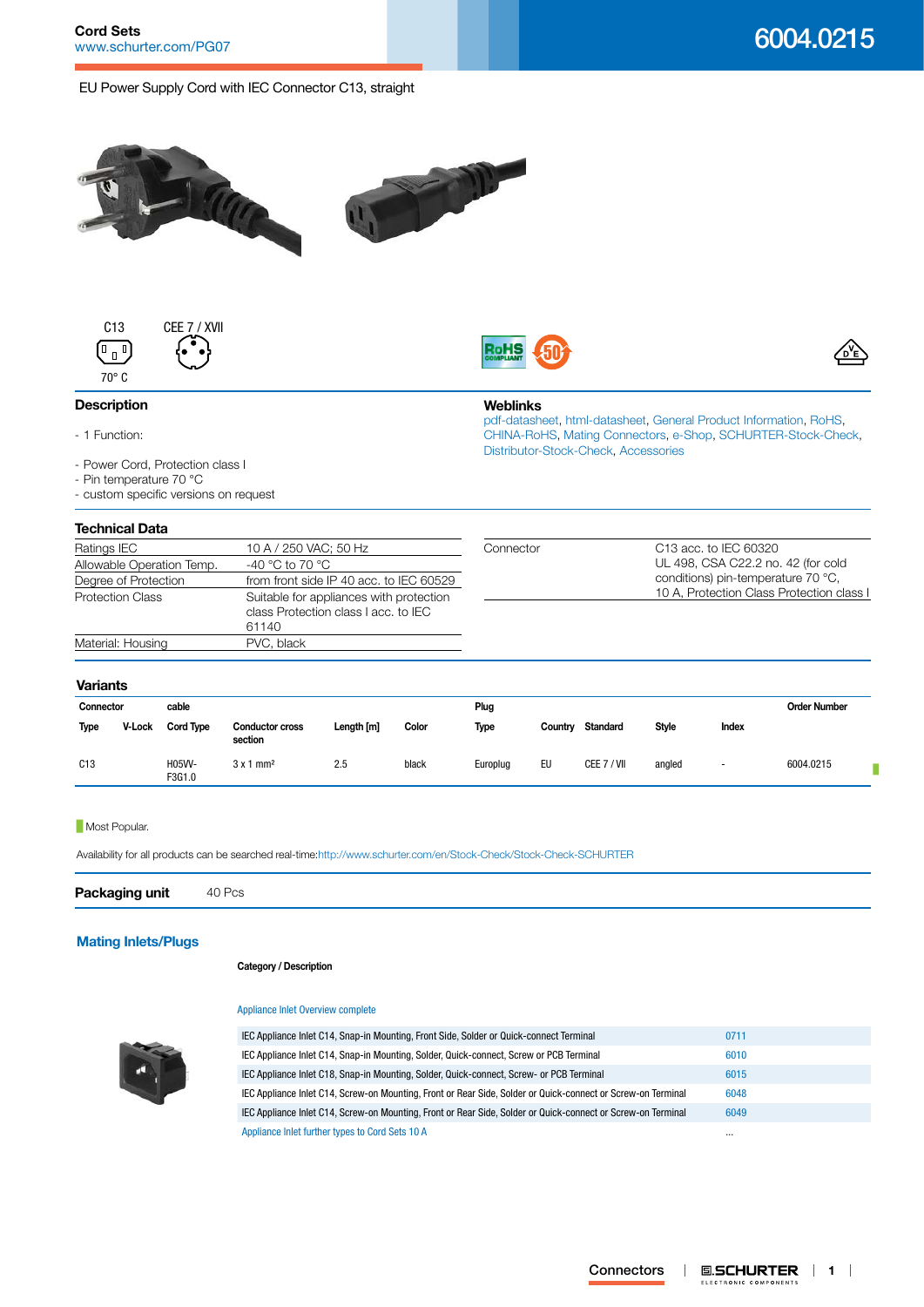# 6004.0215

EU Power Supply Cord with IEC Connector C13, straight







**Weblinks**

[Distributor-Stock-Check,](http:///en/Stock-Check/Stock-Check-Distributor?partnumber1=6004.0215) [Accessories](http://www.schurter.ch/wwwsc/con_z01.asp)

[pdf-datasheet](http://www.schurter.ch/pdf/english/typ_6004.0215.pdf), [html-datasheet](http://www.schurter.ch/en/datasheet/6004.0215), [General Product Information,](http://www.schurter.ch/products/iec_connector_overview.asp) [RoHS,](http://www.schurter.ch/company/rohs.asp) [CHINA-RoHS,](http://www.schurter.ch/company/china_rohs.asp) [Mating Connectors](http://www.schurter.ch/Components/Connectors/Mating-Connectors), [e-Shop](http:///en/Stock-Check/e-Shop?MATNR=6004.0215&COM_QTY=1&AUTOSEARCH=true&VARIANT=E-SHOP), [SCHURTER-Stock-Check](http:///en/Stock-Check/Stock-Check-SCHURTER?MATNR=6004.0215&COM_QTY=40&AUTOSEARCH=true),

# **Description**

- 1 Function:
- Power Cord, Protection class I
- Pin temperature 70 °C
- custom specific versions on request

# **Technical Data**

| וסטווווטפו באט            |                                         |           |                                           |
|---------------------------|-----------------------------------------|-----------|-------------------------------------------|
| Ratings IEC               | 10 A / 250 VAC; 50 Hz                   | Connector | C <sub>13</sub> acc. to IEC 60320         |
| Allowable Operation Temp. | -40 °C to 70 °C                         |           | UL 498, CSA C22.2 no. 42 (for cold        |
| Degree of Protection      | from front side IP 40 acc. to IEC 60529 |           | conditions) pin-temperature 70 °C,        |
| <b>Protection Class</b>   | Suitable for appliances with protection |           | 10 A, Protection Class Protection class I |
|                           | class Protection class I acc. to IEC    |           |                                           |
|                           | 61140                                   |           |                                           |
| Material: Housing         | PVC, black                              |           |                                           |
|                           |                                         |           |                                           |

## **Variants**

| Connector |        | cable            |                                   |            |       | Plug     |         |                 |              |                          | <b>Order Number</b> |
|-----------|--------|------------------|-----------------------------------|------------|-------|----------|---------|-----------------|--------------|--------------------------|---------------------|
| Type      | V-Lock | <b>Cord Type</b> | <b>Conductor cross</b><br>section | Length [m] | Color | Type     | Country | <b>Standard</b> | <b>Style</b> | Index                    |                     |
| C13       |        | H05W-<br>F3G1.0  | $3x1$ mm <sup>2</sup>             | 2.5        | black | Europlug | EU      | CEE 7 / VII     | angled       | $\overline{\phantom{a}}$ | 6004.0215           |

#### **Most Popular.**

Availability for all products can be searched real-time[:http://www.schurter.com/en/Stock-Check/Stock-Check-SCHURTER](http://www.schurter.com/en/Stock-Check/Stock-Check-SCHURTER)

**Packaging unit** 40 Pcs

# **[Mating Inlets/Plugs](http://www.schurter.ch/Components/Connectors/Mating-Connectors?out_type=Cord_Sets_10_A)**

### **Category / Description**

#### [Appliance Inlet Overview complete](http://www.schurter.ch/pg07)



| IEC Appliance Inlet C14, Snap-in Mounting, Front Side, Solder or Quick-connect Terminal                      | 0711     |
|--------------------------------------------------------------------------------------------------------------|----------|
| IEC Appliance Inlet C14, Snap-in Mounting, Solder, Quick-connect, Screw or PCB Terminal                      | 6010     |
| IEC Appliance Inlet C18, Snap-in Mounting, Solder, Quick-connect, Screw- or PCB Terminal                     | 6015     |
| IEC Appliance Inlet C14, Screw-on Mounting, Front or Rear Side, Solder or Quick-connect or Screw-on Terminal | 6048     |
| IEC Appliance Inlet C14, Screw-on Mounting, Front or Rear Side, Solder or Quick-connect or Screw-on Terminal | 6049     |
| Appliance Inlet further types to Cord Sets 10 A                                                              | $\cdots$ |